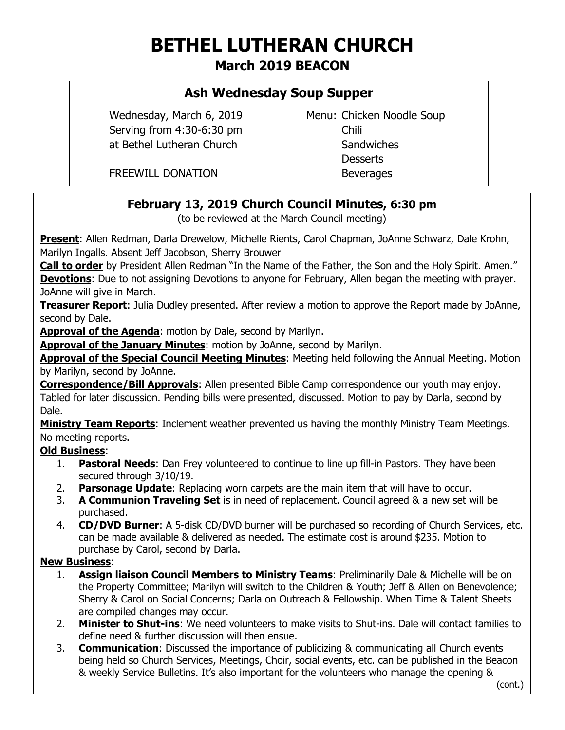# **BETHEL LUTHERAN CHURCH**

**March 2019 BEACON**

## **Ash Wednesday Soup Supper**

Serving from 4:30-6:30 pm at Bethel Lutheran Church Sandwiches

Wednesday, March 6, 2019 Menu: Chicken Noodle Soup **Desserts** 

FREEWILL DONATION Beverages

## **February 13, 2019 Church Council Minutes, 6:30 pm**

(to be reviewed at the March Council meeting)

**Present**: Allen Redman, Darla Drewelow, Michelle Rients, Carol Chapman, JoAnne Schwarz, Dale Krohn, Marilyn Ingalls. Absent Jeff Jacobson, Sherry Brouwer

**Call to order** by President Allen Redman "In the Name of the Father, the Son and the Holy Spirit. Amen." **Devotions**: Due to not assigning Devotions to anyone for February, Allen began the meeting with prayer. JoAnne will give in March.

**Treasurer Report**: Julia Dudley presented. After review a motion to approve the Report made by JoAnne, second by Dale.

**Approval of the Agenda**: motion by Dale, second by Marilyn.

**Approval of the January Minutes**: motion by JoAnne, second by Marilyn.

**Approval of the Special Council Meeting Minutes**: Meeting held following the Annual Meeting. Motion by Marilyn, second by JoAnne.

**Correspondence/Bill Approvals**: Allen presented Bible Camp correspondence our youth may enjoy. Tabled for later discussion. Pending bills were presented, discussed. Motion to pay by Darla, second by Dale.

**Ministry Team Reports**: Inclement weather prevented us having the monthly Ministry Team Meetings. No meeting reports.

## **Old Business**:

- 1. **Pastoral Needs**: Dan Frey volunteered to continue to line up fill-in Pastors. They have been secured through 3/10/19.
- 2. **Parsonage Update**: Replacing worn carpets are the main item that will have to occur.
- 3. **A Communion Traveling Set** is in need of replacement. Council agreed & a new set will be purchased.
- 4. **CD/DVD Burner**: A 5-disk CD/DVD burner will be purchased so recording of Church Services, etc. can be made available & delivered as needed. The estimate cost is around \$235. Motion to purchase by Carol, second by Darla.

#### **New Business**:

- 1. **Assign liaison Council Members to Ministry Teams**: Preliminarily Dale & Michelle will be on the Property Committee; Marilyn will switch to the Children & Youth; Jeff & Allen on Benevolence; Sherry & Carol on Social Concerns; Darla on Outreach & Fellowship. When Time & Talent Sheets are compiled changes may occur.
- 2. **Minister to Shut-ins**: We need volunteers to make visits to Shut-ins. Dale will contact families to define need & further discussion will then ensue.
- 3. **Communication**: Discussed the importance of publicizing & communicating all Church events being held so Church Services, Meetings, Choir, social events, etc. can be published in the Beacon & weekly Service Bulletins. It's also important for the volunteers who manage the opening &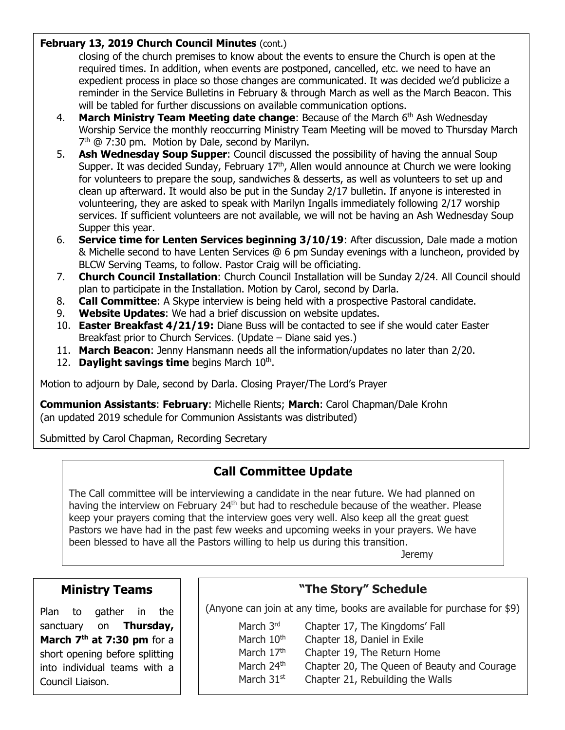#### **February 13, 2019 Church Council Minutes (cont.)**

closing of the church premises to know about the events to ensure the Church is open at the required times. In addition, when events are postponed, cancelled, etc. we need to have an expedient process in place so those changes are communicated. It was decided we'd publicize a reminder in the Service Bulletins in February & through March as well as the March Beacon. This will be tabled for further discussions on available communication options.

- 4. **March Ministry Team Meeting date change**: Because of the March 6<sup>th</sup> Ash Wednesday Worship Service the monthly reoccurring Ministry Team Meeting will be moved to Thursday March 7<sup>th</sup> @ 7:30 pm. Motion by Dale, second by Marilyn.
- 5. **Ash Wednesday Soup Supper**: Council discussed the possibility of having the annual Soup Supper. It was decided Sunday, February  $17<sup>th</sup>$ , Allen would announce at Church we were looking for volunteers to prepare the soup, sandwiches & desserts, as well as volunteers to set up and clean up afterward. It would also be put in the Sunday 2/17 bulletin. If anyone is interested in volunteering, they are asked to speak with Marilyn Ingalls immediately following 2/17 worship services. If sufficient volunteers are not available, we will not be having an Ash Wednesday Soup Supper this year.
- 6. **Service time for Lenten Services beginning 3/10/19**: After discussion, Dale made a motion & Michelle second to have Lenten Services @ 6 pm Sunday evenings with a luncheon, provided by BLCW Serving Teams, to follow. Pastor Craig will be officiating.
- 7. **Church Council Installation**: Church Council Installation will be Sunday 2/24. All Council should plan to participate in the Installation. Motion by Carol, second by Darla.
- 8. **Call Committee**: A Skype interview is being held with a prospective Pastoral candidate.
- 9. **Website Updates**: We had a brief discussion on website updates.
- 10. **Easter Breakfast 4/21/19:** Diane Buss will be contacted to see if she would cater Easter Breakfast prior to Church Services. (Update – Diane said yes.)
- 11. **March Beacon**: Jenny Hansmann needs all the information/updates no later than 2/20.
- 12. Daylight savings time begins March 10<sup>th</sup>.

Motion to adjourn by Dale, second by Darla. Closing Prayer/The Lord's Prayer

**Communion Assistants**: **February**: Michelle Rients; **March**: Carol Chapman/Dale Krohn (an updated 2019 schedule for Communion Assistants was distributed)

Submitted by Carol Chapman, Recording Secretary

# **Call Committee Update**

The Call committee will be interviewing a candidate in the near future. We had planned on having the interview on February 24<sup>th</sup> but had to reschedule because of the weather. Please keep your prayers coming that the interview goes very well. Also keep all the great guest Pastors we have had in the past few weeks and upcoming weeks in your prayers. We have been blessed to have all the Pastors willing to help us during this transition.

Jeremy

## **Ministry Teams**

Plan to gather in the sanctuary on **Thursday, March 7 th at 7:30 pm** for a short opening before splitting into individual teams with a Council Liaison.

# **"The Story" Schedule**

(Anyone can join at any time, books are available for purchase for \$9)

March 3<sup>rd</sup> Chapter 17, The Kingdoms' Fall

ֺ֖֚֝֬

March  $10<sup>th</sup>$  Chapter 18, Daniel in Exile March 17<sup>th</sup> Chapter 19, The Return Home

- March 24<sup>th</sup> Chapter 20, The Queen of Beauty and Courage
- March  $31<sup>st</sup>$  Chapter 21, Rebuilding the Walls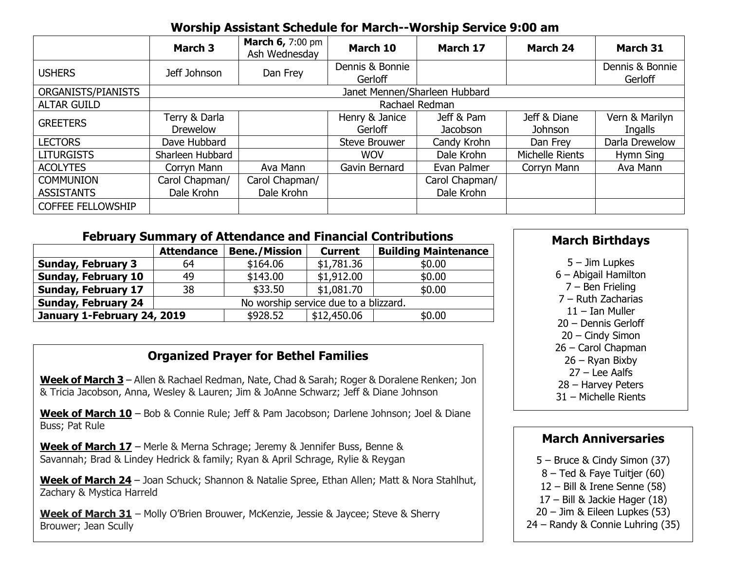## **Worship Assistant Schedule for March--Worship Service 9:00 am**

|                          | <b>March 3</b>                   | <b>March 6, 7:00 pm</b><br>Ash Wednesday | March 10                   | March 17               | <b>March 24</b>         | March 31                   |  |  |  |
|--------------------------|----------------------------------|------------------------------------------|----------------------------|------------------------|-------------------------|----------------------------|--|--|--|
| <b>USHERS</b>            | Jeff Johnson                     | Dan Frey                                 | Dennis & Bonnie<br>Gerloff |                        |                         | Dennis & Bonnie<br>Gerloff |  |  |  |
| ORGANISTS/PIANISTS       | Janet Mennen/Sharleen Hubbard    |                                          |                            |                        |                         |                            |  |  |  |
| <b>ALTAR GUILD</b>       | Rachael Redman                   |                                          |                            |                        |                         |                            |  |  |  |
| <b>GREETERS</b>          | Terry & Darla<br><b>Drewelow</b> |                                          | Henry & Janice<br>Gerloff  | Jeff & Pam<br>Jacobson | Jeff & Diane<br>Johnson | Vern & Marilyn<br>Ingalls  |  |  |  |
| <b>LECTORS</b>           | Dave Hubbard                     |                                          | <b>Steve Brouwer</b>       | Candy Krohn            | Dan Frey                | Darla Drewelow             |  |  |  |
| <b>LITURGISTS</b>        | Sharleen Hubbard                 |                                          | <b>WOV</b>                 | Dale Krohn             | Michelle Rients         | Hymn Sing                  |  |  |  |
| <b>ACOLYTES</b>          | Corryn Mann                      | Ava Mann                                 | Gavin Bernard              | Evan Palmer            | Corryn Mann             | Ava Mann                   |  |  |  |
| <b>COMMUNION</b>         | Carol Chapman/                   | Carol Chapman/                           |                            | Carol Chapman/         |                         |                            |  |  |  |
| <b>ASSISTANTS</b>        | Dale Krohn                       | Dale Krohn                               |                            | Dale Krohn             |                         |                            |  |  |  |
| <b>COFFEE FELLOWSHIP</b> |                                  |                                          |                            |                        |                         |                            |  |  |  |

## **February Summary of Attendance and Financial Contributions**

|                             | <b>Attendance</b>                     | <b>Bene./Mission</b> | <b>Current</b> | <b>Building Maintenance</b> |  |  |
|-----------------------------|---------------------------------------|----------------------|----------------|-----------------------------|--|--|
| <b>Sunday, February 3</b>   | 64                                    | \$164.06             | \$1,781.36     | \$0.00                      |  |  |
| <b>Sunday, February 10</b>  | 49                                    | \$143.00             | \$1,912.00     | \$0.00                      |  |  |
| <b>Sunday, February 17</b>  | 38                                    | \$33.50              | \$1,081.70     | \$0.00                      |  |  |
| <b>Sunday, February 24</b>  | No worship service due to a blizzard. |                      |                |                             |  |  |
| January 1-February 24, 2019 |                                       | \$928.52             | \$12,450.06    | \$0.00                      |  |  |

## **Organized Prayer for Bethel Families**

**Week of March 3** – Allen & Rachael Redman, Nate, Chad & Sarah; Roger & Doralene Renken; Jon & Tricia Jacobson, Anna, Wesley & Lauren; Jim & JoAnne Schwarz; Jeff & Diane Johnson

Week of March 10 - Bob & Connie Rule; Jeff & Pam Jacobson; Darlene Johnson; Joel & Diane Buss; Pat Rule

**Week of March 17** – Merle & Merna Schrage; Jeremy & Jennifer Buss, Benne & Savannah; Brad & Lindey Hedrick & family; Ryan & April Schrage, Rylie & Reygan

**Week of March 24** – Joan Schuck; Shannon & Natalie Spree, Ethan Allen; Matt & Nora Stahlhut, Zachary & Mystica Harreld

**Week of March 31** – Molly O'Brien Brouwer, McKenzie, Jessie & Jaycee; Steve & Sherry Brouwer; Jean Scully

## **March Birthdays**

5 – Jim Lupkes 6 – Abigail Hamilton

7 – Ben Frieling

7 – Ruth Zacharias

11 – Ian Muller

20 – Dennis Gerloff

20 – Cindy Simon

26 – Carol Chapman

26 – Ryan Bixby

27 – Lee Aalfs 28 – Harvey Peters

31 – Michelle Rients

 $\overline{a}$ 

## **March Anniversaries**

5 – Bruce & Cindy Simon (37)

8 – Ted & Faye Tuitjer (60)

12 – Bill & Irene Senne (58)

17 – Bill & Jackie Hager (18)

20 – Jim & Eileen Lupkes (53)

24 – Randy & Connie Luhring (35)